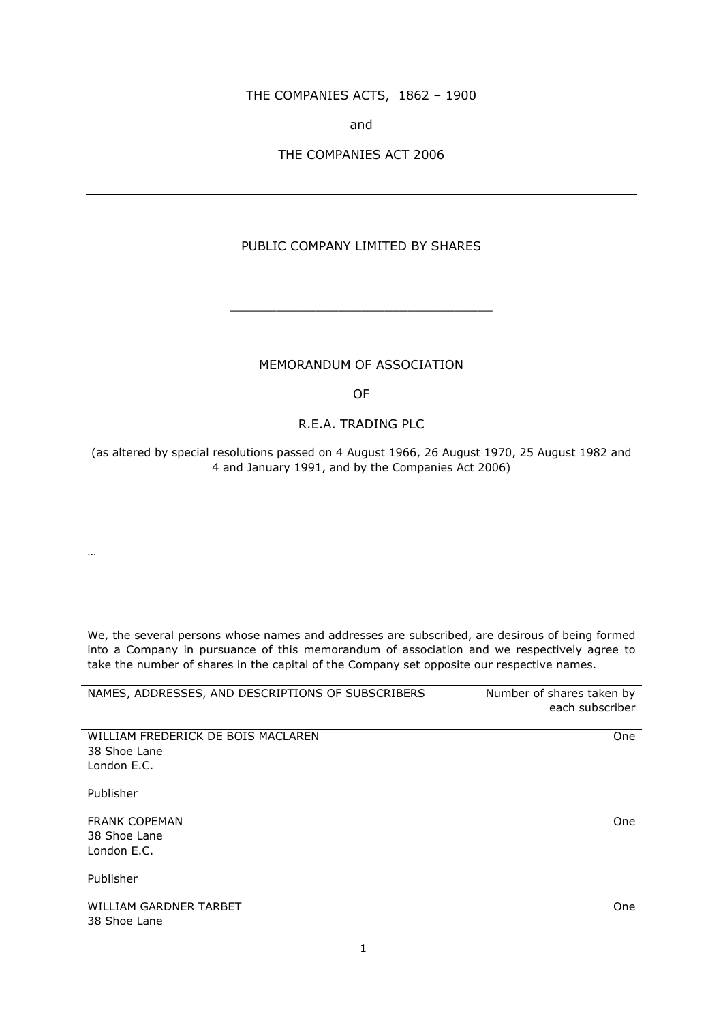### THE COMPANIES ACTS, 1862 – 1900

and

### THE COMPANIES ACT 2006

# PUBLIC COMPANY LIMITED BY SHARES

#### MEMORANDUM OF ASSOCIATION

\_\_\_\_\_\_\_\_\_\_\_\_\_\_\_\_\_\_\_\_\_\_\_\_\_\_\_\_\_\_\_\_\_\_

OF

## R.E.A. TRADING PLC

(as altered by special resolutions passed on 4 August 1966, 26 August 1970, 25 August 1982 and 4 and January 1991, and by the Companies Act 2006)

…

We, the several persons whose names and addresses are subscribed, are desirous of being formed into a Company in pursuance of this memorandum of association and we respectively agree to take the number of shares in the capital of the Company set opposite our respective names.

| NAMES, ADDRESSES, AND DESCRIPTIONS OF SUBSCRIBERS                 | Number of shares taken by<br>each subscriber |
|-------------------------------------------------------------------|----------------------------------------------|
| WILLIAM FREDERICK DE BOIS MACLAREN<br>38 Shoe Lane<br>London E.C. | <b>One</b>                                   |
| Publisher                                                         |                                              |
| <b>FRANK COPEMAN</b><br>38 Shoe Lane<br>London E.C.               | One                                          |
| Publisher                                                         |                                              |
| WILLIAM GARDNER TARBET<br>38 Shoe Lane                            | One                                          |

1